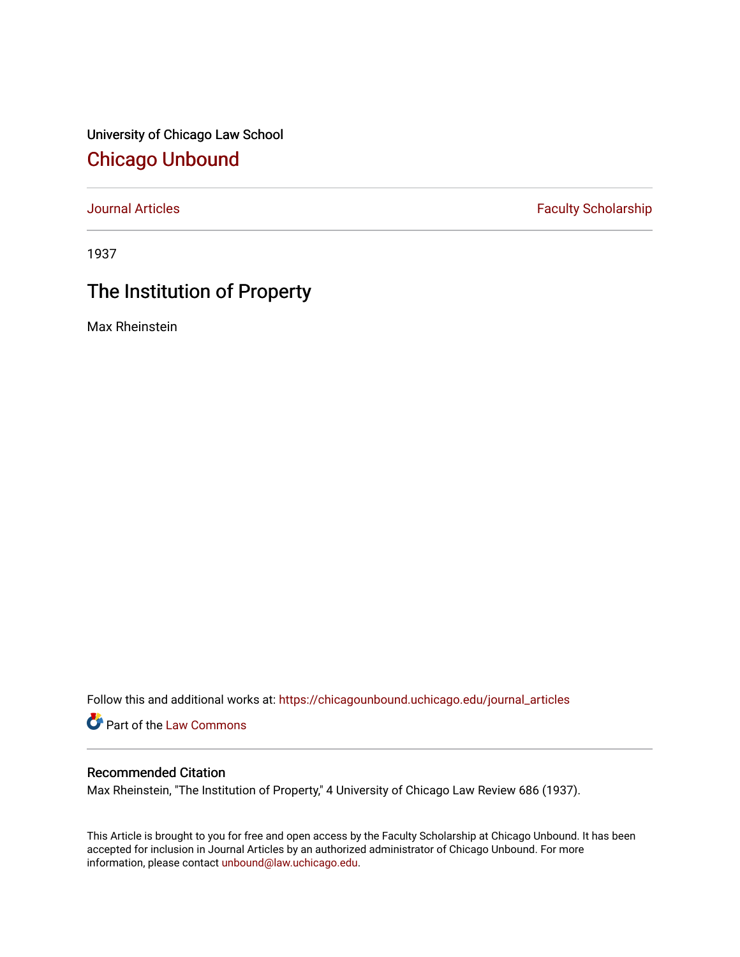University of Chicago Law School [Chicago Unbound](https://chicagounbound.uchicago.edu/)

[Journal Articles](https://chicagounbound.uchicago.edu/journal_articles) **Faculty Scholarship Faculty Scholarship** 

1937

## The Institution of Property

Max Rheinstein

Follow this and additional works at: [https://chicagounbound.uchicago.edu/journal\\_articles](https://chicagounbound.uchicago.edu/journal_articles?utm_source=chicagounbound.uchicago.edu%2Fjournal_articles%2F9477&utm_medium=PDF&utm_campaign=PDFCoverPages) 

Part of the [Law Commons](http://network.bepress.com/hgg/discipline/578?utm_source=chicagounbound.uchicago.edu%2Fjournal_articles%2F9477&utm_medium=PDF&utm_campaign=PDFCoverPages)

## Recommended Citation

Max Rheinstein, "The Institution of Property," 4 University of Chicago Law Review 686 (1937).

This Article is brought to you for free and open access by the Faculty Scholarship at Chicago Unbound. It has been accepted for inclusion in Journal Articles by an authorized administrator of Chicago Unbound. For more information, please contact [unbound@law.uchicago.edu](mailto:unbound@law.uchicago.edu).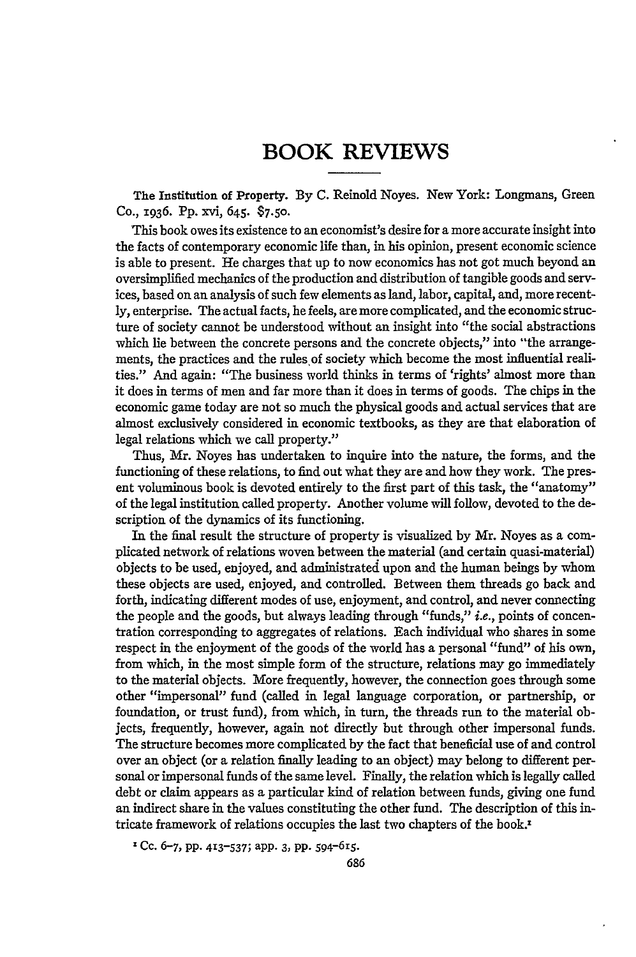## BOOK REVIEWS

The Institution of Property. By **C.** Reinold Noyes. New York: Longmans, Green Co., 1936. **Pp.** xvi, 645. **\$7.50.**

This book owes its existence to an economist's desire for a more accurate insight into the facts of contemporary economic life than, in his opinion, present economic science is able to present. He charges that up to now economics has not got much beyond an oversimplified mechanics of the production and distribution of tangible goods and services, based on an analysis of such few elements as land, labor, capital, and, more recently, enterprise. The actual facts, he feels, are more complicated, and the economic structure of society cannot be understood without an insight into "the social abstractions which lie between the concrete persons and the concrete objects," into "the arrangements, the practices and the rules of society which become the most influential realities." And again: "The business world thinks in terms of 'rights' almost more than it does in terms of men and far more than it does in terms of goods. The chips in the economic game today are not so much the physical goods and actual services that are almost exclusively considered in economic textbooks, as they are that elaboration of legal relations which we call property."

Thus, Mr. Noyes has undertaken to inquire into the nature, the forms, and the functioning of these relations, to find out what they are and how they work. The present voluminous book is devoted entirely to the first part of this task, the "anatomy" of the legal institution called property. Another volume will follow, devoted to the description of the dynamics of its functioning.

In the final result the structure of property is visualized by Mr. Noyes as a complicated network of relations woven between the material (and certain quasi-material) objects to be used, enjoyed, and administrated upon and the human beings by whom these objects are used, enjoyed, and controlled. Between them threads go back and forth, indicating different modes of use, enjoyment, and control, and never connecting the people and the goods, but always leading through "funds," i.e., points of concentration corresponding to aggregates of relations. Each individual who shares in some respect in the enjoyment of the goods of the world has a personal "fund" of his own, from which, in the most simple form of the structure, relations may go immediately to the material objects. More frequently, however, the connection goes through some other "impersonal" fund (called in legal language corporation, or partnership, or foundation, or trust fund), from which, in turn, the threads run to the material objects, frequently, however, again not directly but through other impersonal funds. The structure becomes more complicated by the fact that beneficial use of and control over an object (or a relation finally leading to an object) may belong to different personal or impersonal funds of the same level. Finally, the relation which is legally called debt or claim appears as a particular kind of relation between funds, giving one fund an indirect share in the values constituting the other fund. The description of this intricate framework of relations occupies the last two chapters of the book.<sup>1</sup>

'Cc. 6-7, pp. **413-537;** app. **3, pp.** 594-615.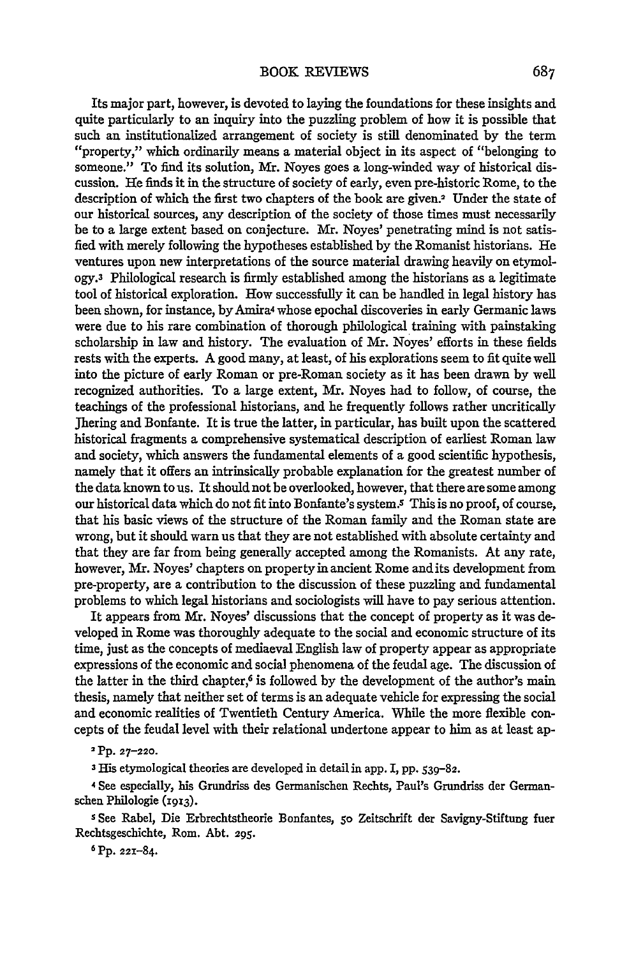Its major part, however, is devoted to laying the foundations for these insights and quite particularly to an inquiry into the puzzling problem of how it is possible that such an institutionalized arrangement of society is still denominated by the term "property," which ordinarily means a material object in its aspect of "belonging to someone." To find its solution, Mr. Noyes goes a long-winded way of historical discussion. He finds it in the structure of society of early, even pre-historic Rome, to the description of which the first two chapters of the book are given.2 Under the state of our historical sources, any description of the society of those times must necessarily be to a large extent based on conjecture. Mr. Noyes' penetrating mind is not satisfied with merely following the hypotheses established by the Romanist historians. He ventures upon new interpretations of the source material drawing heavily on etymology.3 Philological research is firmly established among the historians as a legitimate tool of historical exploration. How successfully it can be handled in legal history has been shown, for instance, by Amira4 whose epochal discoveries in early Germanic laws were due to his rare combination of thorough philological training with painstaking scholarship in law and history. The evaluation of Mr. Noyes' efforts in these fields rests with the experts. A good many, at least, of his explorations seem to fit quite well into the picture of early Roman or pre-Roman society as it has been drawn by well recognized authorities. To a large extent, Mr. Noyes had to follow, of course, the teachings of the professional historians, and he frequently follows rather uncritically Jhering and Bonfante. It is true the latter, in particular, has built upon the scattered historical fragments a comprehensive systematical description of earliest Roman law and society, which answers the fundamental elements of a good scientific hypothesis, namely that it offers an intrinsically probable explanation for the greatest number of the data known to us. It should not be overlooked, however, that there are some among our historical data which do not fit into Bonfante's system.<sup>5</sup> This is no proof, of course, that his basic views of the structure of the Roman family and the Roman state are wrong, but it should warn us that they are not established with absolute certainty and that they are far from being generally accepted among the Romanists. At any rate, however, Mr. Noyes' chapters on property in ancient Rome andits development from pre-property, are a contribution to the discussion of these puzzling and fundamental problems to which legal historians and sociologists will have to pay serious attention.

It appears from Mr. Noyes' discussions that the concept of property as it was developed in Rome was thoroughly adequate to the social and economic structure of its time, just as the concepts of mediaeval English law of property appear as appropriate expressions of the economic and social phenomena of the feudal age. The discussion of the latter in the third chapter, $6$  is followed by the development of the author's main thesis, namely that neither set of terms is an adequate vehicle for expressing the social and economic realities of Twentieth Century America. While the more flexible concepts of the feudal level with their relational undertone appear to him as at least ap-

**<sup>2</sup>**Pp. **27-220.**

**3** His etymological theories are developed in detail in app. I, pp. **539-82.**

4 **See** especially, his Grundriss des Germanischen Rechts, Paul's Grundriss der Germanschen Philologie **(1913).**

**s** See Rabel, Die Erbrechtstheorie Bonfantes, So Zeitschrift der Savigny-Stiftung fuer Rechtsgescbichte, Rom. Abt. **295.**

**6** Pp. 221-84.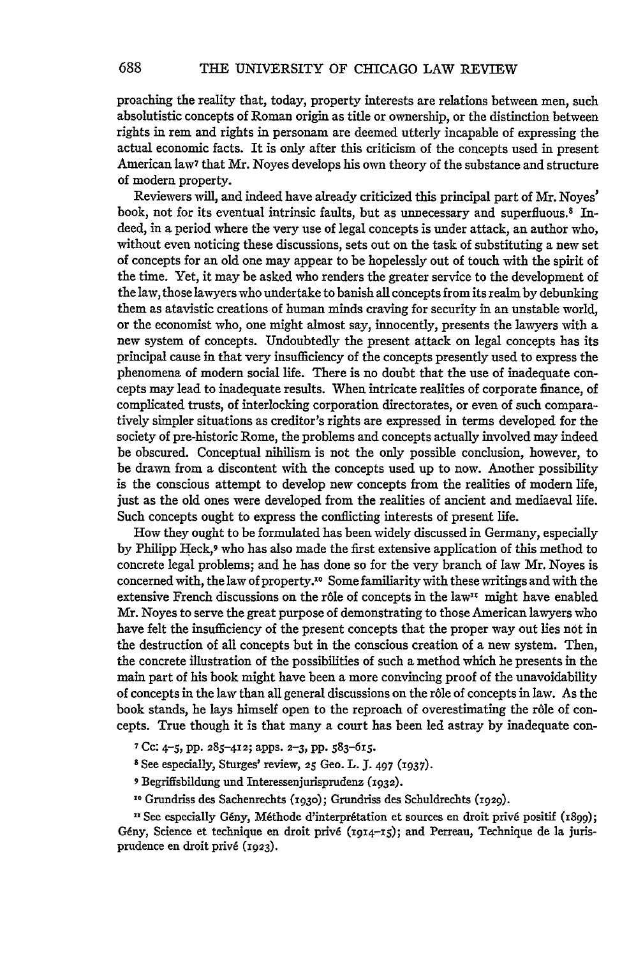proaching the reality that, today, property interests are relations between men, such absolutistic concepts of Roman origin as title or ownership, or the distinction between rights in rem and rights in personam are deemed utterly incapable of expressing the actual economic facts. It is only after this criticism of the concepts used in present American law7 that Mr. Noyes develops his own theory of the substance and structure of modern property.

Reviewers will, and indeed have already criticized this principal part of Mr. Noyes' book, not for its eventual intrinsic faults, but as unnecessary and superfluous.8 Indeed, in a period where the very use of legal concepts is under attack, an author who, without even noticing these discussions, sets out on the task of substituting a new set of concepts for an old one may appear to be hopelessly out of touch with the spirit of the time. Yet, it may be asked who renders the greater service to the development of the law, those lawyers who undertake to banish all concepts from its realm by debunking them as atavistic creations of human minds craving for security in an unstable world, or the economist who, one might almost say, innocently, presents the lawyers with a new system of concepts. Undoubtedly the present attack on legal concepts has its principal cause in that very insufficiency of the concepts presently used to express the phenomena of modern social life. There is no doubt that the use of inadequate concepts may lead to inadequate results. When intricate realities of corporate finance, of complicated trusts, of interlocking corporation directorates, or even of such comparatively simpler situations as creditor's rights are expressed in terms developed for the society of pre-historic Rome, the problems and concepts actually involved may indeed be obscured. Conceptual nihilism is not the only possible conclusion, however, to be drawn from a discontent with the concepts used up to now. Another possibility is the conscious attempt to develop new concepts from the realities of modern life, just as the old ones were developed from the realities of ancient and mediaeval life. Such concepts ought to express the conflicting interests of present life.

How they ought to be formulated has been widely discussed in Germany, especially by Philipp Heck,9 who has also made the first extensive application of this method to concrete legal problems; and he has done so for the very branch of law Mr. Noyes is concerned with, the law of property.<sup>10</sup> Some familiarity with these writings and with the extensive French discussions on the r6le of concepts in the law" might have enabled Mr. Noyes to serve the great purpose of demonstrating to those American lawyers who have felt the insufficiency of the present concepts that the proper way out lies not in the destruction of all concepts but in the conscious creation of a new system. Then, the concrete illustration of the possibilities of such a method which he presents in the main part of his book might have been a more convincing proof of the unavoidability of concepts in the law than all general discussions on the r6le of concepts in law. As the book stands, he lays himself open to the reproach of overestimating the r6le of concepts. True though it is that many a court has been led astray by inadequate con-

- **7** Cc: **4-5, pp. 285-412;** apps. 2-3, **pp. 583-615.**
- **8** See especially, Sturges' review, **25** Geo. L. **J. 497 (I937).**
- **9** Begriffsbildung und Interessenjurisprudenz **(1932).**
- **<sup>10</sup>**Grundriss des Sachenrechts **(i93o);** Grundriss des Schuldrechts (1929).

<sup>11</sup> See especially Gény, Méthode d'interprétation et sources en droit privé positif (1899); Gény, Science et technique en droit privé ( $1914-15$ ); and Perreau, Technique de la jurisprudence en droit priv6 (1923).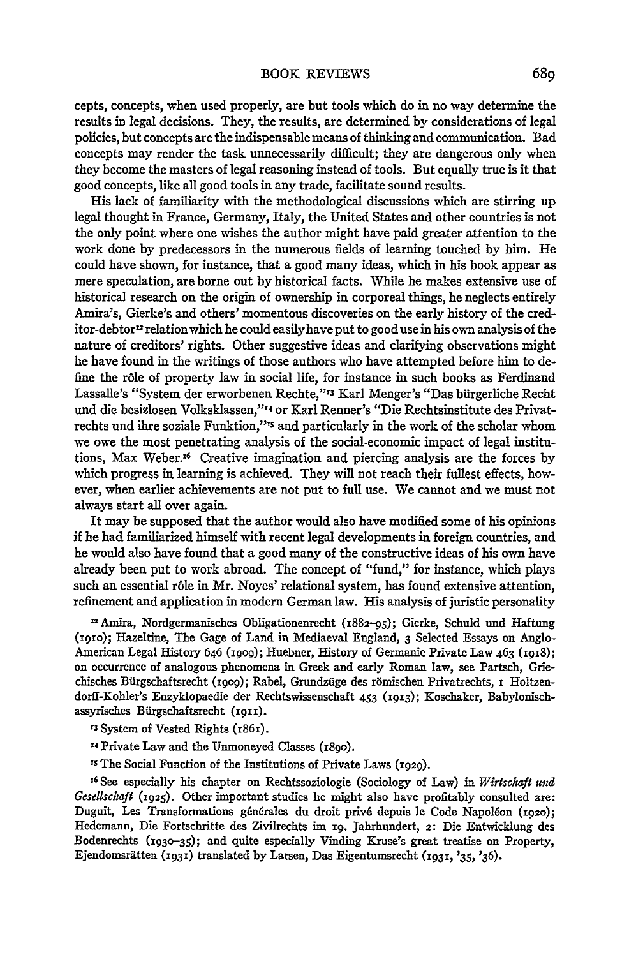cepts, concepts, when used properly, are but tools which do in no way determine the results in legal decisions. They, the results, are determined by considerations of legal policies, but concepts are the indispensable means of thinking and communication. Bad concepts may render the task unnecessarily difficult; they are dangerous only when they become the masters of legal reasoning instead of tools. But equally true is it that good concepts, like all good tools in any trade, facilitate sound results.

His lack of familiarity with the methodological discussions which are stirring up legal thought in France, Germany, Italy, the United States and other countries is not the only point where one wishes the author might have paid greater attention to the work done by predecessors in the numerous fields of learning touched by him. He could have shown, for instance, that a good many ideas, which in his book appear as mere speculation, are borne out by historical facts. While he makes extensive use of historical research on the origin of ownership in corporeal things, he neglects entirely Amira's, Gierke's and others' momentous discoveries on the early history of the creditor-debtor $<sup>12</sup>$  relation which he could easily have put to good use in his own analysis of the</sup> nature of creditors' rights. Other suggestive ideas and clarifying observations might he have found in the writings of those authors who have attempted before him to define the r6le of property law in social life, for instance in such books as Ferdinand Lassalle's "System der erworbenen Rechte,"'3 Karl Menger's "Das biirgerliche Recht und die besizlosen Volksklassen,"14 or Karl Renner's "Die Rechtsinstitute des Privatrechts und ihre soziale Funktion,"<sup>15</sup> and particularly in the work of the scholar whom we owe the most penetrating analysis of the social-economic impact of legal institutions, Max Weber.16 Creative imagination and piercing analysis are the forces by which progress in learning is achieved. They will not reach their fullest effects, however, when earlier achievements are not put to full use. We cannot and we must not always start all over again.

It may be supposed that the author would also have modified some of his opinions if he had familiarized himself with recent legal developments in foreign countries, and he would also have found that a good many of the constructive ideas of his own have already been put to work abroad. The concept of "fund," for instance, which plays such an essential r6le in Mr. Noyes' relational system, has found extensive attention, refinement and application in modern German law. His analysis of juristic personality

12 Amira, Nordgermanisches Obligationenrecht (1882-95); Gierke, Schuld und Haftung (i9o); Hazeltine, The Gage of Land in Mediaeval England, **3** Selected Essays on Anglo-American Legal History 646 (1909); Huebner, History of Germanic Private Law 463 (1918); on occurrence of analogous phenomena in Greek and early Roman law, see Partsch, Griechisches Bflrgschaftsrecht **(i9o9);** Rabel, Grundzfige des r6mischen Privatrechts, i Holtzendorff-Kohler's Enzyklopaedie der Rechtswissenschaft 453 **(i913);** Koschaker, Babylonischassyrisches Bürgschaftsrecht (1911).

**r3** System of Vested Rights (i85i).

- **'4** Private Law and the Unmoneyed Classes (18go).
- **,s** The Social Function of the Institutions of Private Laws (1929).

16 See especially his chapter on Rechtssoziologie (Sociology of Law) in *Wirtschaft und Gesellschaft* (1925). Other important studies he might also have profitably consulted are: Duguit, Les Transformations générales du droit privé depuis le Code Napoléon (1920); Hedemann, Die Fortschritte des Zivilrechts im **19.** Jahrhundert, 2: Die Entwicklung des Bodenrechts **(93o-35);** and quite especially Vinding Kruse's great treatise on Property, Ejendomsrätten (1931) translated by Larsen, Das Eigentumsrecht (1931, '35, '36).